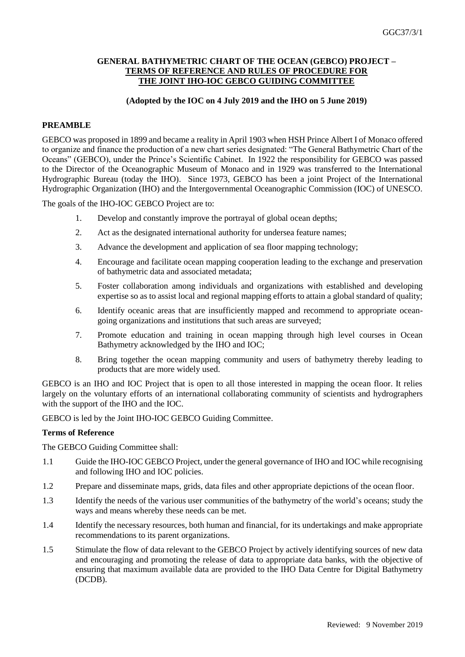### **GENERAL BATHYMETRIC CHART OF THE OCEAN (GEBCO) PROJECT – TERMS OF REFERENCE AND RULES OF PROCEDURE FOR THE JOINT IHO-IOC GEBCO GUIDING COMMITTEE**

## **(Adopted by the IOC on 4 July 2019 and the IHO on 5 June 2019)**

### **PREAMBLE**

GEBCO was proposed in 1899 and became a reality in April 1903 when HSH Prince Albert I of Monaco offered to organize and finance the production of a new chart series designated: "The General Bathymetric Chart of the Oceans" (GEBCO), under the Prince's Scientific Cabinet. In 1922 the responsibility for GEBCO was passed to the Director of the Oceanographic Museum of Monaco and in 1929 was transferred to the International Hydrographic Bureau (today the IHO). Since 1973, GEBCO has been a joint Project of the International Hydrographic Organization (IHO) and the Intergovernmental Oceanographic Commission (IOC) of UNESCO.

The goals of the IHO-IOC GEBCO Project are to:

- 1. Develop and constantly improve the portrayal of global ocean depths;
- 2. Act as the designated international authority for undersea feature names;
- 3. Advance the development and application of sea floor mapping technology;
- 4. Encourage and facilitate ocean mapping cooperation leading to the exchange and preservation of bathymetric data and associated metadata;
- 5. Foster collaboration among individuals and organizations with established and developing expertise so as to assist local and regional mapping efforts to attain a global standard of quality;
- 6. Identify oceanic areas that are insufficiently mapped and recommend to appropriate oceangoing organizations and institutions that such areas are surveyed;
- 7. Promote education and training in ocean mapping through high level courses in Ocean Bathymetry acknowledged by the IHO and IOC;
- 8. Bring together the ocean mapping community and users of bathymetry thereby leading to products that are more widely used.

GEBCO is an IHO and IOC Project that is open to all those interested in mapping the ocean floor. It relies largely on the voluntary efforts of an international collaborating community of scientists and hydrographers with the support of the IHO and the IOC.

GEBCO is led by the Joint IHO-IOC GEBCO Guiding Committee.

#### **Terms of Reference**

The GEBCO Guiding Committee shall:

- 1.1 Guide the IHO-IOC GEBCO Project, under the general governance of IHO and IOC while recognising and following IHO and IOC policies.
- 1.2 Prepare and disseminate maps, grids, data files and other appropriate depictions of the ocean floor.
- 1.3 Identify the needs of the various user communities of the bathymetry of the world's oceans; study the ways and means whereby these needs can be met.
- 1.4 Identify the necessary resources, both human and financial, for its undertakings and make appropriate recommendations to its parent organizations.
- 1.5 Stimulate the flow of data relevant to the GEBCO Project by actively identifying sources of new data and encouraging and promoting the release of data to appropriate data banks, with the objective of ensuring that maximum available data are provided to the IHO Data Centre for Digital Bathymetry (DCDB).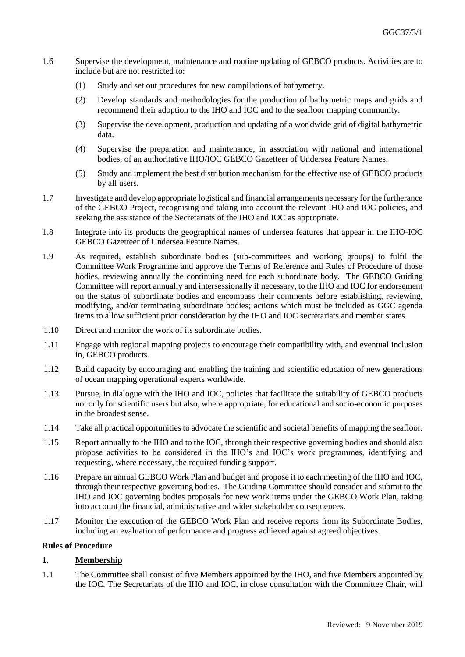- 1.6 Supervise the development, maintenance and routine updating of GEBCO products. Activities are to include but are not restricted to:
	- (1) Study and set out procedures for new compilations of bathymetry.
	- (2) Develop standards and methodologies for the production of bathymetric maps and grids and recommend their adoption to the IHO and IOC and to the seafloor mapping community.
	- (3) Supervise the development, production and updating of a worldwide grid of digital bathymetric data.
	- (4) Supervise the preparation and maintenance, in association with national and international bodies, of an authoritative IHO/IOC GEBCO Gazetteer of Undersea Feature Names.
	- (5) Study and implement the best distribution mechanism for the effective use of GEBCO products by all users.
- 1.7 Investigate and develop appropriate logistical and financial arrangements necessary for the furtherance of the GEBCO Project, recognising and taking into account the relevant IHO and IOC policies, and seeking the assistance of the Secretariats of the IHO and IOC as appropriate.
- 1.8 Integrate into its products the geographical names of undersea features that appear in the IHO-IOC GEBCO Gazetteer of Undersea Feature Names.
- 1.9 As required, establish subordinate bodies (sub-committees and working groups) to fulfil the Committee Work Programme and approve the Terms of Reference and Rules of Procedure of those bodies, reviewing annually the continuing need for each subordinate body. The GEBCO Guiding Committee will report annually and intersessionally if necessary, to the IHO and IOC for endorsement on the status of subordinate bodies and encompass their comments before establishing, reviewing, modifying, and/or terminating subordinate bodies; actions which must be included as GGC agenda items to allow sufficient prior consideration by the IHO and IOC secretariats and member states.
- 1.10 Direct and monitor the work of its subordinate bodies.
- 1.11 Engage with regional mapping projects to encourage their compatibility with, and eventual inclusion in, GEBCO products.
- 1.12 Build capacity by encouraging and enabling the training and scientific education of new generations of ocean mapping operational experts worldwide.
- 1.13 Pursue, in dialogue with the IHO and IOC, policies that facilitate the suitability of GEBCO products not only for scientific users but also, where appropriate, for educational and socio-economic purposes in the broadest sense.
- 1.14 Take all practical opportunities to advocate the scientific and societal benefits of mapping the seafloor.
- 1.15 Report annually to the IHO and to the IOC, through their respective governing bodies and should also propose activities to be considered in the IHO's and IOC's work programmes, identifying and requesting, where necessary, the required funding support.
- 1.16 Prepare an annual GEBCO Work Plan and budget and propose it to each meeting of the IHO and IOC, through their respective governing bodies. The Guiding Committee should consider and submit to the IHO and IOC governing bodies proposals for new work items under the GEBCO Work Plan, taking into account the financial, administrative and wider stakeholder consequences.
- 1.17 Monitor the execution of the GEBCO Work Plan and receive reports from its Subordinate Bodies, including an evaluation of performance and progress achieved against agreed objectives.

#### **Rules of Procedure**

## **1. Membership**

1.1 The Committee shall consist of five Members appointed by the IHO, and five Members appointed by the IOC. The Secretariats of the IHO and IOC, in close consultation with the Committee Chair, will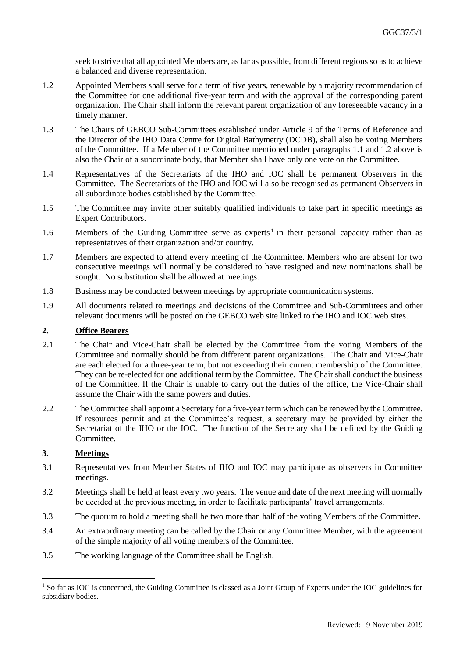seek to strive that all appointed Members are, as far as possible, from different regions so as to achieve a balanced and diverse representation.

- 1.2 Appointed Members shall serve for a term of five years, renewable by a majority recommendation of the Committee for one additional five-year term and with the approval of the corresponding parent organization. The Chair shall inform the relevant parent organization of any foreseeable vacancy in a timely manner.
- 1.3 The Chairs of GEBCO Sub-Committees established under Article 9 of the Terms of Reference and the Director of the IHO Data Centre for Digital Bathymetry (DCDB), shall also be voting Members of the Committee. If a Member of the Committee mentioned under paragraphs 1.1 and 1.2 above is also the Chair of a subordinate body, that Member shall have only one vote on the Committee.
- 1.4 Representatives of the Secretariats of the IHO and IOC shall be permanent Observers in the Committee. The Secretariats of the IHO and IOC will also be recognised as permanent Observers in all subordinate bodies established by the Committee.
- 1.5 The Committee may invite other suitably qualified individuals to take part in specific meetings as Expert Contributors.
- 1.6 Members of the Guiding Committee serve as experts<sup>1</sup> in their personal capacity rather than as representatives of their organization and/or country.
- 1.7 Members are expected to attend every meeting of the Committee. Members who are absent for two consecutive meetings will normally be considered to have resigned and new nominations shall be sought. No substitution shall be allowed at meetings.
- 1.8 Business may be conducted between meetings by appropriate communication systems.
- 1.9 All documents related to meetings and decisions of the Committee and Sub-Committees and other relevant documents will be posted on the GEBCO web site linked to the IHO and IOC web sites.

# **2. Office Bearers**

- 2.1 The Chair and Vice-Chair shall be elected by the Committee from the voting Members of the Committee and normally should be from different parent organizations. The Chair and Vice-Chair are each elected for a three-year term, but not exceeding their current membership of the Committee. They can be re-elected for one additional term by the Committee. The Chair shall conduct the business of the Committee. If the Chair is unable to carry out the duties of the office, the Vice-Chair shall assume the Chair with the same powers and duties.
- 2.2 The Committee shall appoint a Secretary for a five-year term which can be renewed by the Committee. If resources permit and at the Committee's request, a secretary may be provided by either the Secretariat of the IHO or the IOC. The function of the Secretary shall be defined by the Guiding Committee.

## **3. Meetings**

1

- 3.1 Representatives from Member States of IHO and IOC may participate as observers in Committee meetings.
- 3.2 Meetings shall be held at least every two years. The venue and date of the next meeting will normally be decided at the previous meeting, in order to facilitate participants' travel arrangements.
- 3.3 The quorum to hold a meeting shall be two more than half of the voting Members of the Committee.
- 3.4 An extraordinary meeting can be called by the Chair or any Committee Member, with the agreement of the simple majority of all voting members of the Committee.
- 3.5 The working language of the Committee shall be English.

<sup>&</sup>lt;sup>1</sup> So far as IOC is concerned, the Guiding Committee is classed as a Joint Group of Experts under the IOC guidelines for subsidiary bodies.